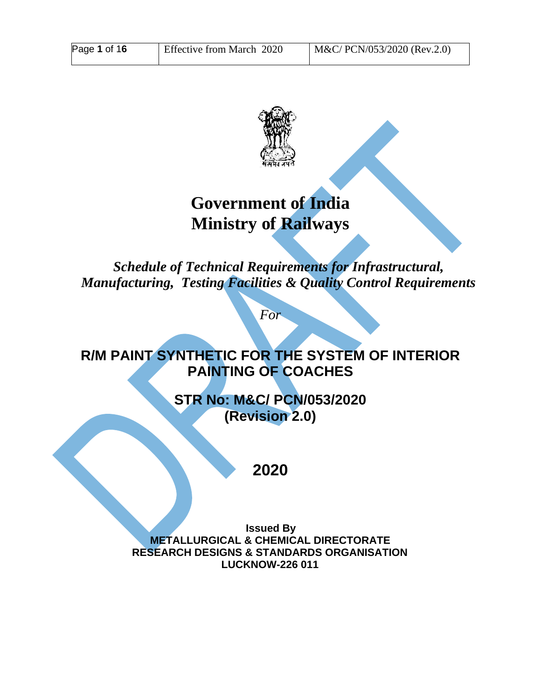

# **Government of India Ministry of Railways**

*Schedule of Technical Requirements for Infrastructural, Manufacturing, Testing Facilities & Quality Control Requirements*

*For*

## **R/M PAINT SYNTHETIC FOR THE SYSTEM OF INTERIOR PAINTING OF COACHES**

**STR No: M&C/ PCN/053/2020 (Revision 2.0)**

**2020**

**Issued By METALLURGICAL & CHEMICAL DIRECTORATE RESEARCH DESIGNS & STANDARDS ORGANISATION LUCKNOW-226 011**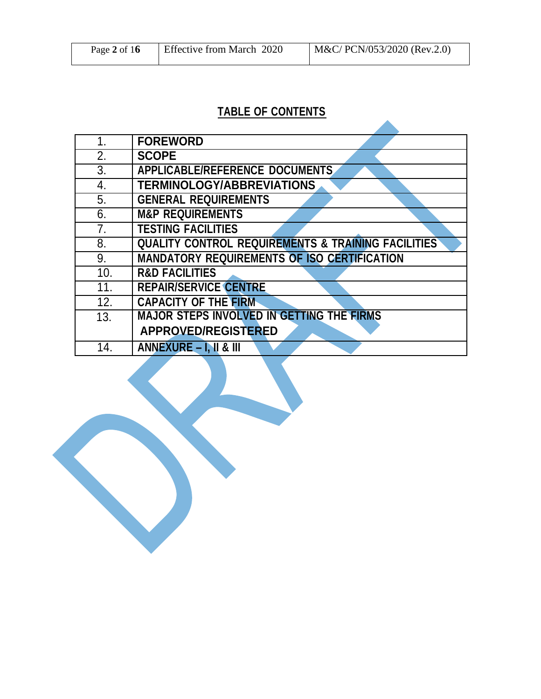| Page 2 of $16$ | Effective from March 2020 | M&C/ PCN/053/2020 (Rev.2.0) |
|----------------|---------------------------|-----------------------------|
|----------------|---------------------------|-----------------------------|

## **TABLE OF CONTENTS**

| 1.             | <b>FOREWORD</b>                                               |
|----------------|---------------------------------------------------------------|
| 2.             | <b>SCOPE</b>                                                  |
| 3.             | <b>APPLICABLE/REFERENCE DOCUMENTS</b>                         |
| 4.             | <b>TERMINOLOGY/ABBREVIATIONS</b>                              |
| 5.             | <b>GENERAL REQUIREMENTS</b>                                   |
| 6.             | <b>M&amp;P REQUIREMENTS</b>                                   |
| 7 <sub>1</sub> | <b>TESTING FACILITIES</b>                                     |
| 8.             | <b>QUALITY CONTROL REQUIREMENTS &amp; TRAINING FACILITIES</b> |
| 9.             | <b>MANDATORY REQUIREMENTS OF ISO CERTIFICATION</b>            |
| 10.            | <b>R&amp;D FACILITIES</b>                                     |
| 11.            | <b>REPAIR/SERVICE CENTRE</b>                                  |
| 12.            | <b>CAPACITY OF THE FIRM</b>                                   |
| 13.            | <b>MAJOR STEPS INVOLVED IN GETTING THE FIRMS</b>              |
|                | <b>APPROVED/REGISTERED</b>                                    |
| 14.            | <b>ANNEXURE – I, II &amp; III</b>                             |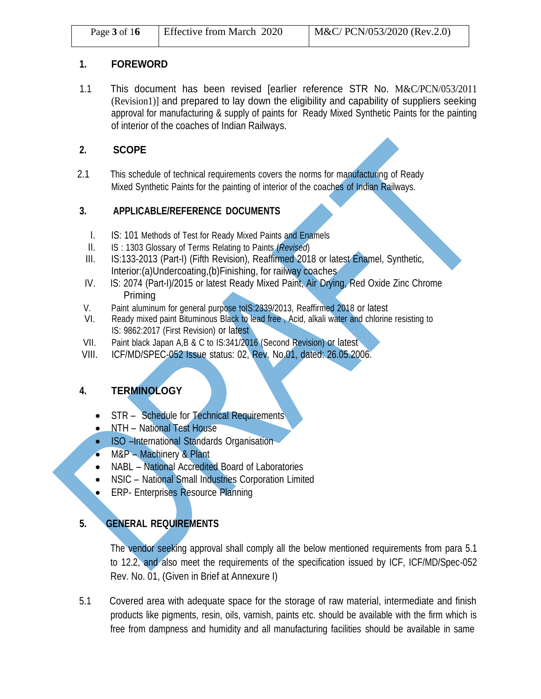#### **1. FOREWORD**

1.1 This document has been revised [earlier reference STR No. M&C/PCN/053/2011 (Revision1)] and prepared to lay down the eligibility and capability of suppliers seeking approval for manufacturing & supply of paints for Ready Mixed Synthetic Paints for the painting of interior of the coaches of Indian Railways.

#### **2. SCOPE**

2.1 This schedule of technical requirements covers the norms for manufacturing of Ready Mixed Synthetic Paints for the painting of interior of the coaches of Indian Railways.

#### **3. APPLICABLE/REFERENCE DOCUMENTS**

- I. IS: 101 Methods of Test for Ready Mixed Paints and Enamels
- II. IS : 1303 Glossary of Terms Relating to Paints (*Revised*)
- III. IS:133-2013 (Part-I) (Fifth Revision), Reaffirmed 2018 or latest Enamel, Synthetic, Interior: (a) Undercoating, (b) Finishing, for railway coaches
- IV. IS: 2074 (Part-I)/2015 or latest Ready Mixed Paint, Air Drying, Red Oxide Zinc Chrome Priming
- V. Paint aluminum for general purpose toIS:2339/2013, Reaffirmed 2018 or latest VI. Ready mixed paint Bituminous Black to lead free Acid. alkali water and chloring
- Ready mixed paint Bituminous Black to lead free, Acid, alkali water and chlorine resisting to IS: 9862:2017 (First Revision) or latest
- VII. Paint black Japan A,B & C to IS:341/2016 (Second Revision) or latest
- VIII. ICF/MD/SPEC-052 Issue status: 02, Rev. No.01, dated: 26.05.2006.

#### **4. TERMINOLOGY**

- STR Schedule for Technical Requirements
- NTH National Test House
- ISO –International Standards Organisation
- M&P Machinery & Plant
- NABL National Accredited Board of Laboratories
- NSIC National Small Industries Corporation Limited
- **ERP- Enterprises Resource Planning**

#### **5. GENERAL REQUIREMENTS**

The vendor seeking approval shall comply all the below mentioned requirements from para 5.1 to 12.2, and also meet the requirements of the specification issued by ICF, ICF/MD/Spec-052 Rev. No. 01, (Given in Brief at Annexure I)

5.1 Covered area with adequate space for the storage of raw material, intermediate and finish products like pigments, resin, oils, varnish, paints etc. should be available with the firm which is free from dampness and humidity and all manufacturing facilities should be available in same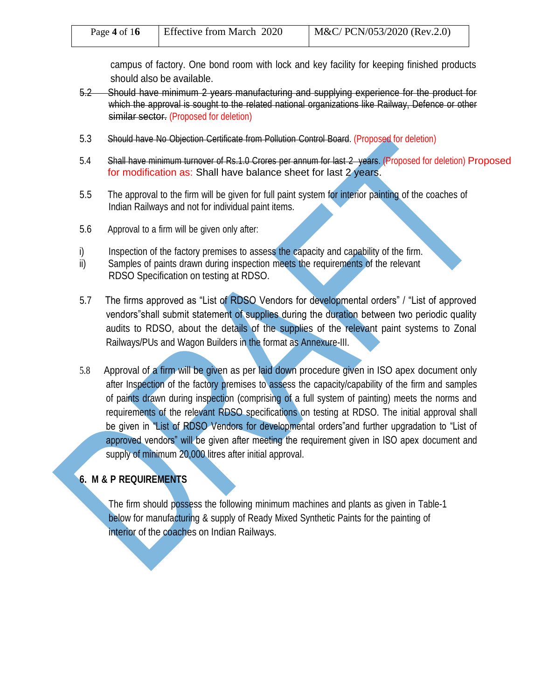| Page 4 of $16$ | <b>Effective from March 2020</b> | M&C/ PCN/053/2020 (Rev.2.0) |
|----------------|----------------------------------|-----------------------------|
|----------------|----------------------------------|-----------------------------|

campus of factory. One bond room with lock and key facility for keeping finished products should also be available.

- 5.2 Should have minimum 2 years manufacturing and supplying experience for the product for which the approval is sought to the related national organizations like Railway, Defence or other similar sector. (Proposed for deletion)
- 5.3 Should have No Objection Certificate from Pollution Control Board. (Proposed for deletion)
- 5.4 Shall have minimum turnover of Rs.1.0 Crores per annum for last 2 years. (Proposed for deletion) Proposed for modification as: Shall have balance sheet for last 2 years.
- 5.5 The approval to the firm will be given for full paint system for interior painting of the coaches of Indian Railways and not for individual paint items.
- 5.6 Approval to a firm will be given only after:
- i) Inspection of the factory premises to assess the capacity and capability of the firm.
- ii) Samples of paints drawn during inspection meets the requirements of the relevant RDSO Specification on testing at RDSO.
- 5.7 The firms approved as "List of RDSO Vendors for developmental orders" / "List of approved vendors"shall submit statement of supplies during the duration between two periodic quality audits to RDSO, about the details of the supplies of the relevant paint systems to Zonal Railways/PUs and Wagon Builders in the format as Annexure-III.
- 5.8 Approval of a firm will be given as per laid down procedure given in ISO apex document only after Inspection of the factory premises to assess the capacity/capability of the firm and samples of paints drawn during inspection (comprising of a full system of painting) meets the norms and requirements of the relevant RDSO specifications on testing at RDSO. The initial approval shall be given in "List of RDSO Vendors for developmental orders"and further upgradation to "List of approved vendors" will be given after meeting the requirement given in ISO apex document and supply of minimum 20,000 litres after initial approval.

#### **6. M & P REQUIREMENTS**

The firm should possess the following minimum machines and plants as given in Table-1 below for manufacturing & supply of Ready Mixed Synthetic Paints for the painting of interior of the coaches on Indian Railways.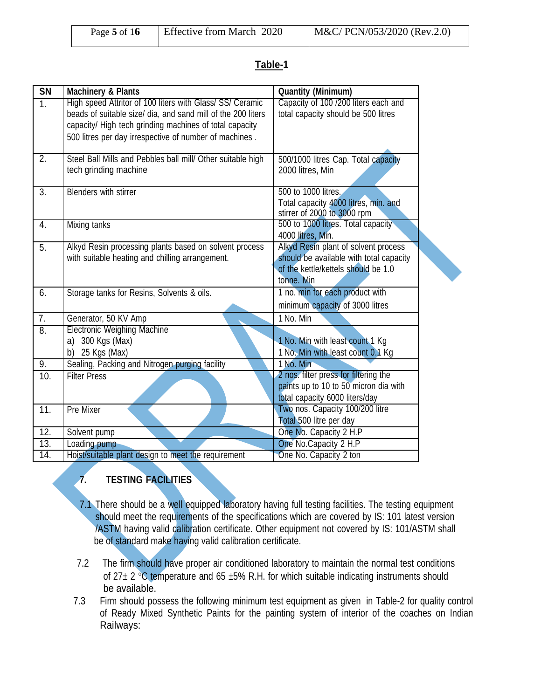| Page 5 of $16$ | <b>Effective from March 2020</b> | M&C/ PCN/053/2020 (Rev.2.0) |
|----------------|----------------------------------|-----------------------------|
|----------------|----------------------------------|-----------------------------|

#### **Table-1**

| <b>SN</b>      | <b>Machinery &amp; Plants</b>                                                                                                                                                        | <b>Quantity (Minimum)</b>                                                                                                            |
|----------------|--------------------------------------------------------------------------------------------------------------------------------------------------------------------------------------|--------------------------------------------------------------------------------------------------------------------------------------|
| 1 <sub>1</sub> | High speed Attritor of 100 liters with Glass/ SS/ Ceramic<br>beads of suitable size/ dia, and sand mill of the 200 liters<br>capacity/ High tech grinding machines of total capacity | Capacity of 100 /200 liters each and<br>total capacity should be 500 litres                                                          |
|                | 500 litres per day irrespective of number of machines.                                                                                                                               |                                                                                                                                      |
| 2.             | Steel Ball Mills and Pebbles ball mill/ Other suitable high<br>tech grinding machine                                                                                                 | 500/1000 litres Cap. Total capacity<br>2000 litres, Min                                                                              |
| 3.             | <b>Blenders with stirrer</b>                                                                                                                                                         | 500 to 1000 litres.<br>Total capacity 4000 litres, min. and<br>stirrer of 2000 to 3000 rpm                                           |
| 4.             | <b>Mixing tanks</b>                                                                                                                                                                  | 500 to 1000 litres. Total capacity<br>4000 litres, Min.                                                                              |
| 5.             | Alkyd Resin processing plants based on solvent process<br>with suitable heating and chilling arrangement.                                                                            | Alkyd Resin plant of solvent process<br>should be available with total capacity<br>of the kettle/kettels should be 1.0<br>tonne. Min |
| 6.             | Storage tanks for Resins, Solvents & oils.                                                                                                                                           | 1 no. min for each product with<br>minimum capacity of 3000 litres                                                                   |
| 7.             | Generator, 50 KV Amp                                                                                                                                                                 | 1 No. Min                                                                                                                            |
| 8.             | <b>Electronic Weighing Machine</b><br>a) 300 Kgs (Max)<br>b) 25 Kgs (Max)                                                                                                            | 1 No. Min with least count 1 Kg<br>1 No. Min with least count 0.1 Kg                                                                 |
| 9.             | Sealing, Packing and Nitrogen purging facility                                                                                                                                       | 1 No. Min                                                                                                                            |
| 10.            | <b>Filter Press</b>                                                                                                                                                                  | 2 nos. filter press for filtering the<br>paints up to 10 to 50 micron dia with<br>total capacity 6000 liters/day                     |
| 11.            | Pre Mixer                                                                                                                                                                            | Two nos. Capacity 100/200 litre<br>Total 500 litre per day                                                                           |
| 12.            | Solvent pump                                                                                                                                                                         | One No. Capacity 2 H.P                                                                                                               |
| 13.            | Loading pump                                                                                                                                                                         | One No. Capacity 2 H.P                                                                                                               |
| 14.            | Hoist/suitable plant design to meet the requirement                                                                                                                                  | One No. Capacity 2 ton                                                                                                               |

## **7. TESTING FACILITIES**

- 7.1 There should be a well equipped laboratory having full testing facilities. The testing equipment should meet the requirements of the specifications which are covered by IS: 101 latest version /ASTM having valid calibration certificate. Other equipment not covered by IS: 101/ASTM shall be of standard make having valid calibration certificate.
- 7.2 The firm should have proper air conditioned laboratory to maintain the normal test conditions of 27 $\pm$  2 °C temperature and 65  $\pm$ 5% R.H. for which suitable indicating instruments should be available.
- 7.3 Firm should possess the following minimum test equipment as given in Table-2 for quality control of Ready Mixed Synthetic Paints for the painting system of interior of the coaches on Indian Railways: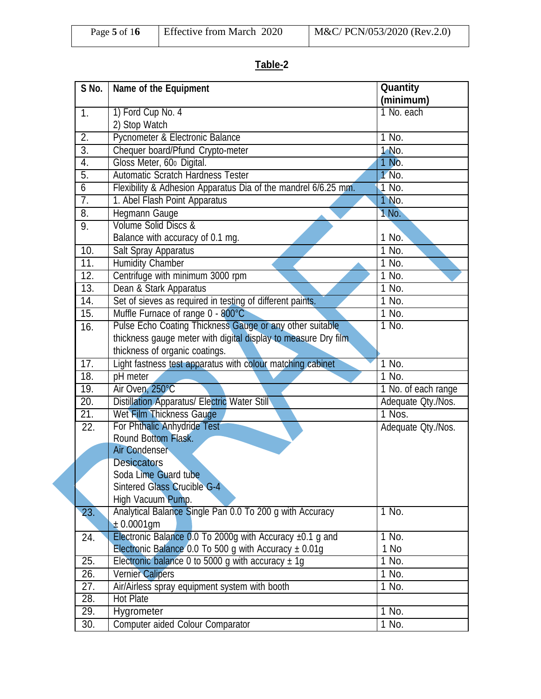| Effective from March 2020<br>Page 5 of $16$ | $M&C/PCN/053/2020$ (Rev.2.0) |
|---------------------------------------------|------------------------------|
|---------------------------------------------|------------------------------|

## **Table-2**

| S No.             | Name of the Equipment                                          | Quantity            |
|-------------------|----------------------------------------------------------------|---------------------|
|                   |                                                                | (minimum)           |
| 1.                | 1) Ford Cup No. 4                                              | 1 No. each          |
|                   | 2) Stop Watch                                                  |                     |
| 2.                | Pycnometer & Electronic Balance                                | 1 No.               |
| $\overline{3}$ .  | Chequer board/Pfund Crypto-meter                               | 1 No.               |
| 4.                | Gloss Meter, 600 Digital.                                      | 1 No.               |
| 5.                | Automatic Scratch Hardness Tester                              | 1 No.               |
| $\overline{6}$    | Flexibility & Adhesion Apparatus Dia of the mandrel 6/6.25 mm. | $1$ No.             |
| $\overline{7}$ .  | 1. Abel Flash Point Apparatus                                  | 1 No.               |
| $\overline{8}$ .  | Hegmann Gauge                                                  | 1 No.               |
| 9.                | Volume Solid Discs &                                           |                     |
|                   | Balance with accuracy of 0.1 mg.                               | 1 No.               |
| 10.               | Salt Spray Apparatus                                           | 1 No.               |
| 11.               | <b>Humidity Chamber</b>                                        | 1 No.               |
| 12.               | Centrifuge with minimum 3000 rpm                               | $1$ No.             |
| 13.               | Dean & Stark Apparatus                                         | $1$ No.             |
| $\overline{14}$ . | Set of sieves as required in testing of different paints.      | 1 No.               |
| 15.               | Muffle Furnace of range 0 - 800°C                              | 1 No.               |
| 16.               | Pulse Echo Coating Thickness Gauge or any other suitable       | 1 No.               |
|                   | thickness gauge meter with digital display to measure Dry film |                     |
|                   | thickness of organic coatings.                                 |                     |
| 17.               | Light fastness test apparatus with colour matching cabinet     | 1 No.               |
| 18.               | pH meter                                                       | $1$ No.             |
| 19.               | Air Oven, 250°C                                                | 1 No. of each range |
| 20.               | <b>Distillation Apparatus/ Electric Water Still</b>            | Adequate Qty./Nos.  |
| $\overline{21}$ . | Wet Film Thickness Gauge                                       | 1 Nos.              |
| 22.               | For Phthalic Anhydride Test                                    | Adequate Qty./Nos.  |
|                   | Round Bottom Flask.                                            |                     |
|                   | Air Condenser                                                  |                     |
|                   | <b>Desiccators</b>                                             |                     |
|                   | Soda Lime Guard tube                                           |                     |
|                   | Sintered Glass Crucible G-4                                    |                     |
|                   | High Vacuum Pump.                                              |                     |
| 23.               | Analytical Balance Single Pan 0.0 To 200 g with Accuracy       | 1 No.               |
|                   | $± 0.0001$ gm                                                  |                     |
| 24.               | Electronic Balance 0.0 To 2000g with Accuracy $\pm$ 0.1 g and  | 1 No.               |
|                   | Electronic Balance 0.0 To 500 g with Accuracy $\pm$ 0.01g      | 1 No                |
| 25.               | Electronic balance 0 to 5000 g with accuracy $\pm$ 1g          | $1$ No.             |
| 26.               | <b>Vernier Calipers</b>                                        | 1 No.               |
| 27.               | Air/Airless spray equipment system with booth                  | 1 No.               |
| $\overline{28}$ . | Hot Plate                                                      |                     |
| 29.               | Hygrometer                                                     | 1 No.               |
| 30.               | Computer aided Colour Comparator                               | 1 No.               |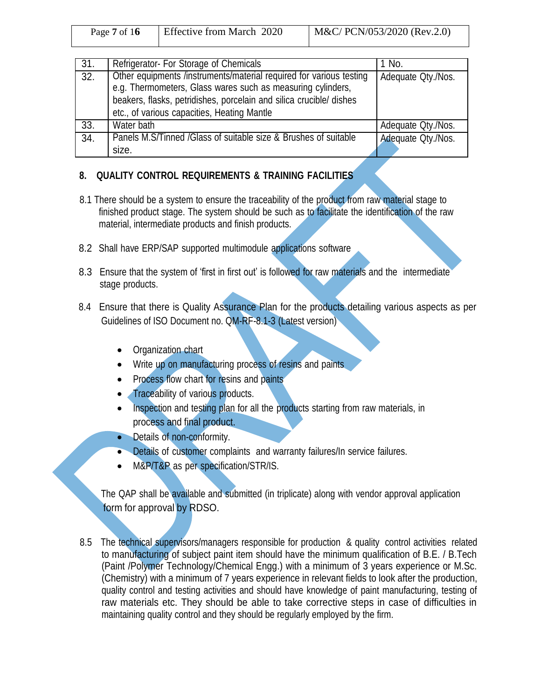| Page $7 \text{ of } 16$ | Effective from March 2020 | M&C/ PCN/053/2020 (Rev.2.0) |
|-------------------------|---------------------------|-----------------------------|
|                         |                           |                             |

| 31. | Refrigerator- For Storage of Chemicals                                                                                                                                                                                                                   | 1 No.              |
|-----|----------------------------------------------------------------------------------------------------------------------------------------------------------------------------------------------------------------------------------------------------------|--------------------|
| 32. | Other equipments /instruments/material required for various testing<br>e.g. Thermometers, Glass wares such as measuring cylinders,<br>beakers, flasks, petridishes, porcelain and silica crucible/ dishes<br>etc., of various capacities, Heating Mantle | Adequate Qty./Nos. |
| 33. | Water bath                                                                                                                                                                                                                                               | Adequate Qty./Nos. |
| 34. | Panels M.S/Tinned /Glass of suitable size & Brushes of suitable<br>size.                                                                                                                                                                                 | Adequate Qty./Nos. |

#### **8. QUALITY CONTROL REQUIREMENTS & TRAINING FACILITIES**

- 8.1 There should be a system to ensure the traceability of the product from raw material stage to finished product stage. The system should be such as to facilitate the identification of the raw material, intermediate products and finish products.
- 8.2 Shall have ERP/SAP supported multimodule applications software
- 8.3 Ensure that the system of 'first in first out' is followed for raw materials and the intermediate stage products.
- 8.4 Ensure that there is Quality Assurance Plan for the products detailing various aspects as per Guidelines of ISO Document no. QM-RF-8.1-3 (Latest version)
	- Organization chart
	- Write up on manufacturing process of resins and paints
	- Process flow chart for resins and paints
	- Traceability of various products.
	- Inspection and testing plan for all the products starting from raw materials, in process and final product.
	- Details of non-conformity.
	- Details of customer complaints and warranty failures/In service failures.
	- M&P/T&P as per specification/STR/IS.

The QAP shall be available and submitted (in triplicate) along with vendor approval application form for approval by RDSO.

8.5 The technical supervisors/managers responsible for production & quality control activities related to manufacturing of subject paint item should have the minimum qualification of B.E. / B.Tech (Paint /Polymer Technology/Chemical Engg.) with a minimum of 3 years experience or M.Sc. (Chemistry) with a minimum of 7 years experience in relevant fields to look after the production, quality control and testing activities and should have knowledge of paint manufacturing, testing of raw materials etc. They should be able to take corrective steps in case of difficulties in maintaining quality control and they should be regularly employed by the firm.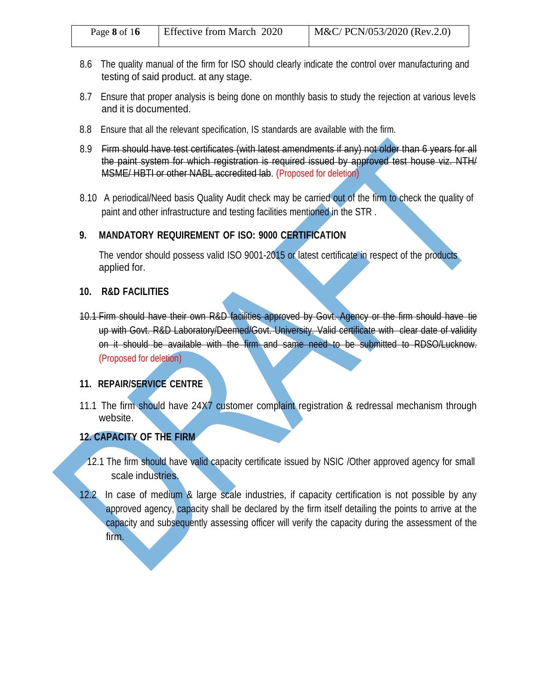| Effective from March 2020<br>Page 8 of $16$ | $M&C/PCN/053/2020$ (Rev.2.0) |
|---------------------------------------------|------------------------------|
|---------------------------------------------|------------------------------|

- 8.6 The quality manual of the firm for ISO should clearly indicate the control over manufacturing and testing of said product. at any stage.
- 8.7 Ensure that proper analysis is being done on monthly basis to study the rejection at various levels and it is documented.
- 8.8 Ensure that all the relevant specification, IS standards are available with the firm.
- 8.9 Firm should have test certificates (with latest amendments if any) not older than 6 years for all the paint system for which registration is required issued by approved test house viz. NTH/ MSME/ HBTI or other NABL accredited lab. (Proposed for deletion)
- 8.10 A periodical/Need basis Quality Audit check may be carried out of the firm to check the quality of paint and other infrastructure and testing facilities mentioned in the STR .

#### **9. MANDATORY REQUIREMENT OF ISO: 9000 CERTIFICATION**

The vendor should possess valid ISO 9001-2015 or latest certificate in respect of the products applied for.

#### **10. R&D FACILITIES**

10.1 Firm should have their own R&D facilities approved by Govt. Agency or the firm should have tie up with Govt. R&D Laboratory/Deemed/Govt. University. Valid certificate with clear date of validity on it should be available with the firm and same need to be submitted to RDSO/Lucknow. (Proposed for deletion)

#### **11. REPAIR/SERVICE CENTRE**

11.1 The firm should have 24X7 customer complaint registration & redressal mechanism through website.

#### **12. CAPACITY OF THE FIRM**

- 12.1 The firm should have valid capacity certificate issued by NSIC /Other approved agency for small scale industries.
- 12.2 In case of medium & large scale industries, if capacity certification is not possible by any approved agency, capacity shall be declared by the firm itself detailing the points to arrive at the capacity and subsequently assessing officer will verify the capacity during the assessment of the firm.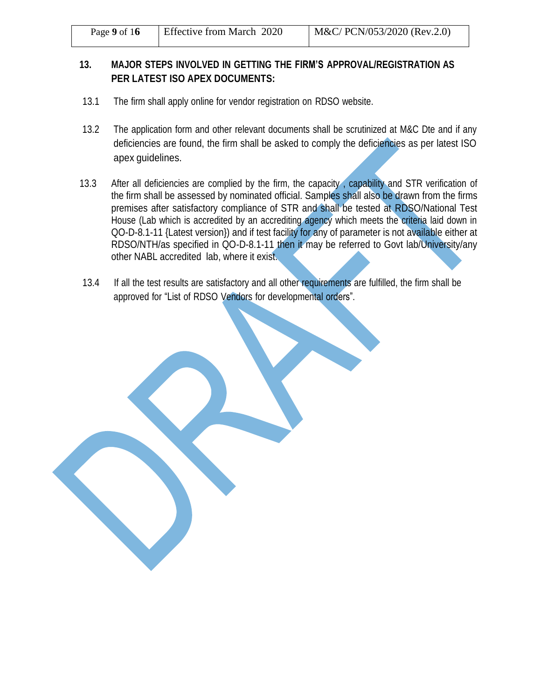| M&C/ PCN/053/2020 (Rev.2.0)<br><b>Effective from March 2020</b><br>Page 9 of $16$ |
|-----------------------------------------------------------------------------------|
|-----------------------------------------------------------------------------------|

#### **13. MAJOR STEPS INVOLVED IN GETTING THE FIRM'S APPROVAL/REGISTRATION AS PER LATEST ISO APEX DOCUMENTS:**

- 13.1 The firm shall apply online for vendor registration on RDSO website.
- 13.2 The application form and other relevant documents shall be scrutinized at M&C Dte and if any deficiencies are found, the firm shall be asked to comply the deficiencies as per latest ISO apex guidelines.
- 13.3 After all deficiencies are complied by the firm, the capacity, capability and STR verification of the firm shall be assessed by nominated official. Samples shall also be drawn from the firms premises after satisfactory compliance of STR and shall be tested at RDSO/National Test House (Lab which is accredited by an accrediting agency which meets the criteria laid down in QO-D-8.1-11 {Latest version}) and if test facility for any of parameter is not available either at RDSO/NTH/as specified in QO-D-8.1-11 then it may be referred to Govt lab/University/any other NABL accredited lab, where it exist.
- 13.4 If all the test results are satisfactory and all other requirements are fulfilled, the firm shall be approved for "List of RDSO Vendors for developmental orders".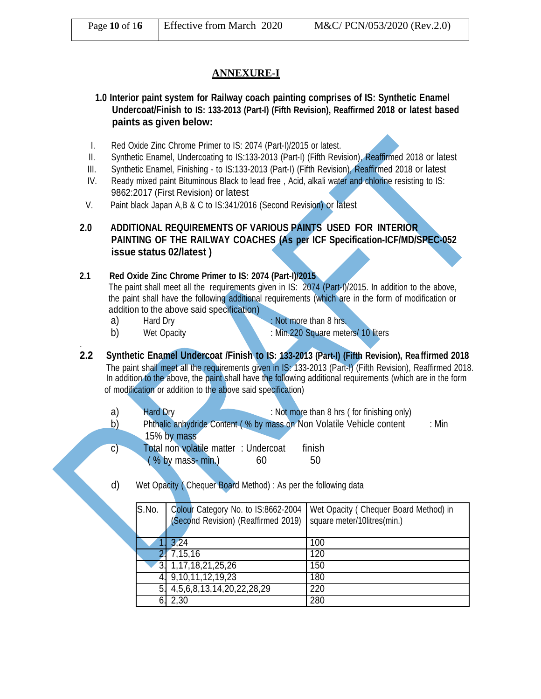| Effective from March 2020<br>Page 10 of 16 | $M&C/$ PCN/053/2020 (Rev.2.0) |
|--------------------------------------------|-------------------------------|
|--------------------------------------------|-------------------------------|

#### **ANNEXURE-I**

**1.0 Interior paint system for Railway coach painting comprises of IS: Synthetic Enamel Undercoat/Finish to IS: 133-2013 (Part-I) (Fifth Revision), Reaffirmed 2018 or latest based paints as given below:**

- I. Red Oxide Zinc Chrome Primer to IS: 2074 (Part-I)/2015 or latest.
- II. Synthetic Enamel, Undercoating to IS:133-2013 (Part-I) (Fifth Revision), Reaffirmed 2018 or latest
- III. Synthetic Enamel, Finishing to IS:133-2013 (Part-I) (Fifth Revision), Reaffirmed 2018 or latest
- IV. Ready mixed paint Bituminous Black to lead free , Acid, alkali water and chlorine resisting to IS: 9862:2017 (First Revision) or latest
- V. Paint black Japan A,B & C to IS:341/2016 (Second Revision) or latest

#### **2.0 ADDITIONAL REQUIREMENTS OF VARIOUS PAINTS USED FOR INTERIOR PAINTING OF THE RAILWAY COACHES (As per ICF Specification-ICF/MD/SPEC-052 issue status 02/latest )**

**2.1 Red Oxide Zinc Chrome Primer to IS: 2074 (Part-I)/2015**

The paint shall meet all the requirements given in IS: 2074 (Part-I)/2015. In addition to the above, the paint shall have the following additional requirements (which are in the form of modification or addition to the above said specification)

- a) Hard Dry : Not more than 8 hrs.
- 

.

- 
- 
- b) Wet Opacity : Min.220 Square meters/ 10 liters
- **2.2 Synthetic Enamel Undercoat /Finish to IS: 133-2013 (Part-I) (Fifth Revision), Rea ffirmed 2018** The paint shall meet all the requirements given in IS: 133-2013 (Part-I) (Fifth Revision), Reaffirmed 2018. In addition to the above, the paint shall have the following additional requirements (which are in the form of modification or addition to the above said specification)
	- a) Hard Dry : Not more than 8 hrs (for finishing only)
	- b) Phthalic anhydride Content (% by mass on Non Volatile Vehicle content : Min 15% by mass c) Total non volatile matter : Undercoat finish
	- d) Wet Opacity ( Chequer Board Method) : As per the following data

 $( % by mass-min.) 60 50$ 

| S.No.          | Colour Category No. to IS:8662-2004<br>(Second Revision) (Reaffirmed 2019) | Wet Opacity (Chequer Board Method) in<br>square meter/10litres(min.) |
|----------------|----------------------------------------------------------------------------|----------------------------------------------------------------------|
|                | 1. 3.24                                                                    | 100                                                                  |
|                | 2!7,15,16                                                                  | 120                                                                  |
| 3 <sub>1</sub> | 1, 17, 18, 21, 25, 26                                                      | 150                                                                  |
|                | 4. 9,10,11,12,19,23                                                        | 180                                                                  |
| 5.             | 4, 5, 6, 8, 13, 14, 20, 22, 28, 29                                         | 220                                                                  |
| 6.             | 2,30                                                                       | 280                                                                  |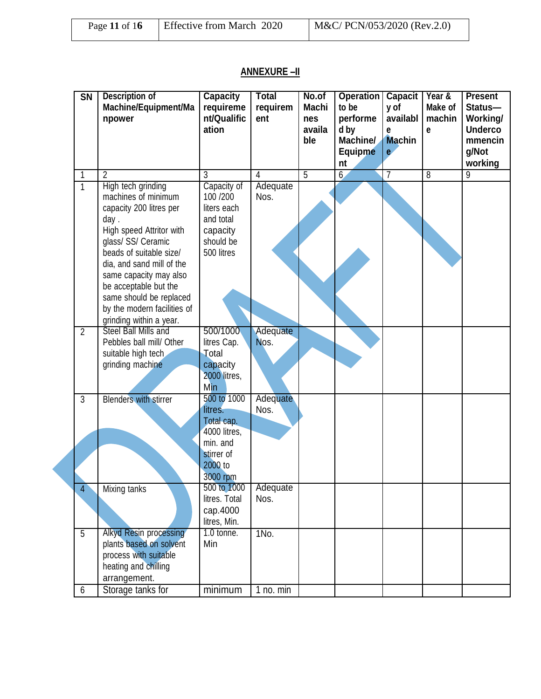| Page 11 of $16$ | Effective from March 2020 | $M&C/PCN/053/2020$ (Rev.2.0) |  |
|-----------------|---------------------------|------------------------------|--|
|                 |                           |                              |  |

### **ANNEXURE –II**

| $\overline{\text{SN}}$ | <b>Description of</b><br>Machine/Equipment/Ma<br>npower                                                                                                                                                                                                                                                  | <b>Capacity</b><br>requireme<br>nt/Qualific<br>ation                                   | <b>Total</b><br>requirem<br>ent | No.of<br><b>Machi</b><br>nes<br>availa<br>ble | <b>Operation</b><br>to be<br>performe<br>d by<br>Machine/<br><b>Equipme</b><br>nt | <b>Capacit</b><br>y of<br>availabl<br>e<br><b>Machin</b><br>e | Year &<br>Make of<br>machin<br>e | <b>Present</b><br>Status-<br>Working/<br><b>Underco</b><br>mmencin<br>g/Not<br>working |
|------------------------|----------------------------------------------------------------------------------------------------------------------------------------------------------------------------------------------------------------------------------------------------------------------------------------------------------|----------------------------------------------------------------------------------------|---------------------------------|-----------------------------------------------|-----------------------------------------------------------------------------------|---------------------------------------------------------------|----------------------------------|----------------------------------------------------------------------------------------|
| 1<br>$\overline{1}$    | 2<br>High tech grinding                                                                                                                                                                                                                                                                                  | 3<br>Capacity of                                                                       | 4<br>Adequate                   | $\overline{5}$                                | $6\overline{6}$                                                                   | 7                                                             | $\overline{8}$                   | $\overline{9}$                                                                         |
|                        | machines of minimum<br>capacity 200 litres per<br>day.<br>High speed Attritor with<br>glass/ SS/ Ceramic<br>beads of suitable size/<br>dia, and sand mill of the<br>same capacity may also<br>be acceptable but the<br>same should be replaced<br>by the modern facilities of<br>grinding within a year. | 100 / 200<br>liters each<br>and total<br>capacity<br>should be<br>500 litres           | Nos.                            |                                               |                                                                                   |                                                               |                                  |                                                                                        |
| $\overline{2}$         | Steel Ball Mills and                                                                                                                                                                                                                                                                                     | 500/1000                                                                               | Adequate                        |                                               |                                                                                   |                                                               |                                  |                                                                                        |
|                        | Pebbles ball mill/ Other<br>suitable high tech<br>grinding machine                                                                                                                                                                                                                                       | litres Cap.<br>Total<br>capacity<br>2000 litres,<br>Min                                | Nos.                            |                                               |                                                                                   |                                                               |                                  |                                                                                        |
| 3                      | <b>Blenders with stirrer</b>                                                                                                                                                                                                                                                                             | 500 to 1000                                                                            | Adequate                        |                                               |                                                                                   |                                                               |                                  |                                                                                        |
|                        |                                                                                                                                                                                                                                                                                                          | litres.<br>Total cap.<br>4000 litres,<br>min. and<br>stirrer of<br>2000 to<br>3000 rpm | Nos.                            |                                               |                                                                                   |                                                               |                                  |                                                                                        |
| $\overline{4}$         | Mixing tanks                                                                                                                                                                                                                                                                                             | 500 to 1000                                                                            | Adequate                        |                                               |                                                                                   |                                                               |                                  |                                                                                        |
|                        |                                                                                                                                                                                                                                                                                                          | litres. Total<br>cap.4000<br>litres, Min.                                              | Nos.                            |                                               |                                                                                   |                                                               |                                  |                                                                                        |
| $\overline{5}$<br>6    | Alkyd Resin processing<br>plants based on solvent<br>process with suitable<br>heating and chilling<br>arrangement.<br>Storage tanks for                                                                                                                                                                  | 1.0 tonne.<br>Min<br>minimum                                                           | 1No.<br>1 no. min               |                                               |                                                                                   |                                                               |                                  |                                                                                        |
|                        |                                                                                                                                                                                                                                                                                                          |                                                                                        |                                 |                                               |                                                                                   |                                                               |                                  |                                                                                        |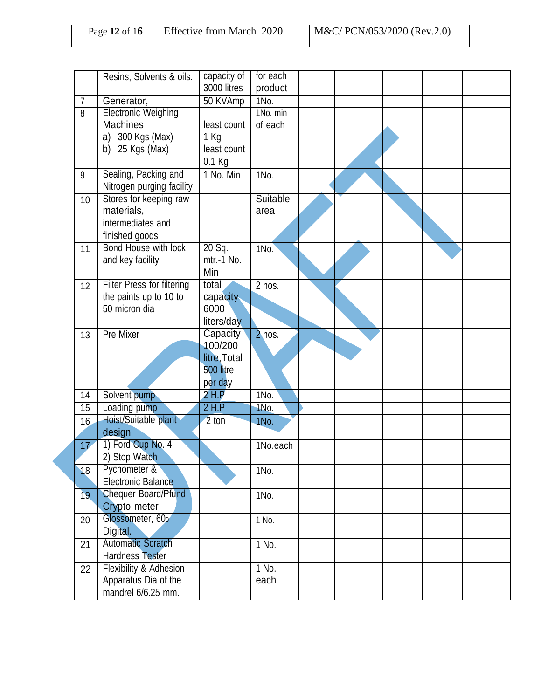| Page 12 of $16$ | <b>Effective from March 2020</b> | M&C/ PCN/053/2020 (Rev.2.0) |
|-----------------|----------------------------------|-----------------------------|
|-----------------|----------------------------------|-----------------------------|

|                | Resins, Solvents & oils.          | capacity of         | for each            |  |  |  |
|----------------|-----------------------------------|---------------------|---------------------|--|--|--|
|                |                                   | 3000 litres         | product             |  |  |  |
| $\overline{7}$ | Generator,                        | 50 KVAmp            | 1No.                |  |  |  |
| $\overline{8}$ | <b>Electronic Weighing</b>        |                     | 1No. min            |  |  |  |
|                | <b>Machines</b>                   | least count         | of each             |  |  |  |
|                | a) 300 Kgs (Max)                  | 1 Kg                |                     |  |  |  |
|                | b) $25$ Kgs (Max)                 | least count         |                     |  |  |  |
|                |                                   | 0.1 Kg              |                     |  |  |  |
| 9              | Sealing, Packing and              | 1 No. Min           | 1No.                |  |  |  |
|                | Nitrogen purging facility         |                     |                     |  |  |  |
| 10             | Stores for keeping raw            |                     | Suitable            |  |  |  |
|                | materials,                        |                     | area                |  |  |  |
|                | intermediates and                 |                     |                     |  |  |  |
|                | finished goods                    |                     |                     |  |  |  |
| 11             | Bond House with lock              | 20 Sq.              | 1No.                |  |  |  |
|                | and key facility                  | mtr.-1 No.          |                     |  |  |  |
|                |                                   | Min                 |                     |  |  |  |
|                | <b>Filter Press for filtering</b> | total               | $\overline{2}$ nos. |  |  |  |
| 12             | the paints up to 10 to            | capacity            |                     |  |  |  |
|                | 50 micron dia                     | 6000                |                     |  |  |  |
|                |                                   |                     |                     |  |  |  |
|                |                                   | liters/day          |                     |  |  |  |
| 13             | Pre Mixer                         | Capacity<br>100/200 | $2$ nos.            |  |  |  |
|                |                                   | litre, Total        |                     |  |  |  |
|                |                                   | 500 litre           |                     |  |  |  |
|                |                                   |                     |                     |  |  |  |
|                |                                   | per day             |                     |  |  |  |
| 14             | Solvent pump                      | $2$ H.P             | 1No.                |  |  |  |
| 15             | Loading pump                      | $2$ H.P             | 1No.                |  |  |  |
| 16             | Hoist/Suitable plant              | 2 ton               | 1No.                |  |  |  |
|                | design                            |                     |                     |  |  |  |
| 17             | 1) Ford Cup No. 4                 |                     | 1No.each            |  |  |  |
|                | 2) Stop Watch                     |                     |                     |  |  |  |
| 18             | Pycnometer &                      |                     | 1No.                |  |  |  |
|                | <b>Electronic Balance</b>         |                     |                     |  |  |  |
| 19             | <b>Chequer Board/Pfund</b>        |                     | 1No.                |  |  |  |
|                | Crypto-meter                      |                     |                     |  |  |  |
| 20             | Glossometer, 600                  |                     | 1 No.               |  |  |  |
|                | Digital.                          |                     |                     |  |  |  |
| 21             | <b>Automatic Scratch</b>          |                     | 1 No.               |  |  |  |
|                | Hardness Tester                   |                     |                     |  |  |  |
| 22             | Flexibility & Adhesion            |                     | 1 No.               |  |  |  |
|                | Apparatus Dia of the              |                     | each                |  |  |  |
|                | mandrel 6/6.25 mm.                |                     |                     |  |  |  |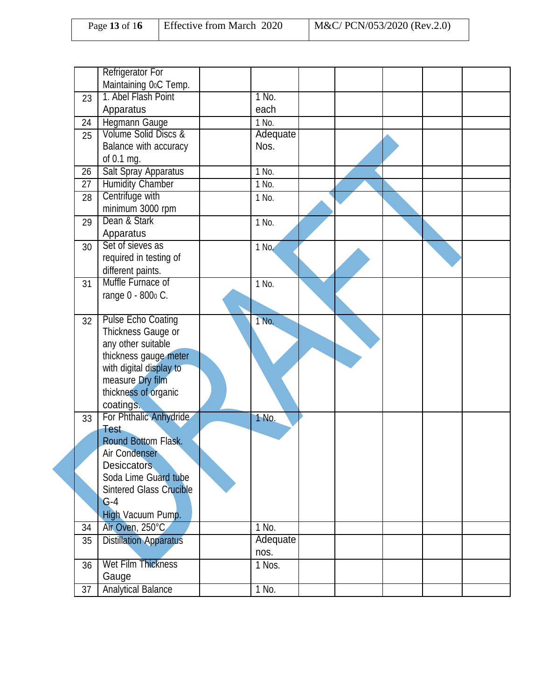| Page 13 of 16 | Effective from March 2020 | M&C/ PCN/053/2020 (Rev.2.0) |
|---------------|---------------------------|-----------------------------|
|               |                           |                             |

|    | <b>Refrigerator For</b>               |                    |  |  |  |
|----|---------------------------------------|--------------------|--|--|--|
|    | Maintaining 0oC Temp.                 |                    |  |  |  |
| 23 | 1. Abel Flash Point                   | 1 No.              |  |  |  |
|    | Apparatus                             | each               |  |  |  |
| 24 | <b>Hegmann Gauge</b>                  | 1 No.              |  |  |  |
| 25 | Volume Solid Discs &                  | Adequate           |  |  |  |
|    | Balance with accuracy                 | Nos.               |  |  |  |
|    | of 0.1 mg.                            |                    |  |  |  |
| 26 | Salt Spray Apparatus                  | 1 No.              |  |  |  |
| 27 | <b>Humidity Chamber</b>               | 1 No.              |  |  |  |
| 28 | Centrifuge with                       | 1 No.              |  |  |  |
|    | minimum 3000 rpm                      |                    |  |  |  |
| 29 | Dean & Stark                          | 1 No.              |  |  |  |
|    | Apparatus                             |                    |  |  |  |
| 30 | Set of sieves as                      | 1 No.              |  |  |  |
|    | required in testing of                |                    |  |  |  |
|    | different paints.                     |                    |  |  |  |
| 31 | Muffle Furnace of                     | $\overline{1}$ No. |  |  |  |
|    | range 0 - 800 c.                      |                    |  |  |  |
|    |                                       |                    |  |  |  |
| 32 | Pulse Echo Coating                    | 1 No.              |  |  |  |
|    | Thickness Gauge or                    |                    |  |  |  |
|    | any other suitable                    |                    |  |  |  |
|    | thickness gauge meter                 |                    |  |  |  |
|    | with digital display to               |                    |  |  |  |
|    | measure Dry film                      |                    |  |  |  |
|    | thickness of organic                  |                    |  |  |  |
|    | coatings.                             |                    |  |  |  |
| 33 | For Phthalic Anhydride<br><b>Test</b> | 1 No.              |  |  |  |
|    | Round Bottom Flask.                   |                    |  |  |  |
|    | Air Condenser                         |                    |  |  |  |
|    | <b>Desiccators</b>                    |                    |  |  |  |
|    | Soda Lime Guard tube                  |                    |  |  |  |
|    | <b>Sintered Glass Crucible</b>        |                    |  |  |  |
|    | $G-4$                                 |                    |  |  |  |
|    | High Vacuum Pump.                     |                    |  |  |  |
| 34 | Air Oven, 250°C                       | 1 No.              |  |  |  |
| 35 | <b>Distillation Apparatus</b>         | Adequate           |  |  |  |
|    |                                       | nos.               |  |  |  |
| 36 | Wet Film Thickness                    | 1 Nos.             |  |  |  |
|    | Gauge                                 |                    |  |  |  |
| 37 | <b>Analytical Balance</b>             | 1 No.              |  |  |  |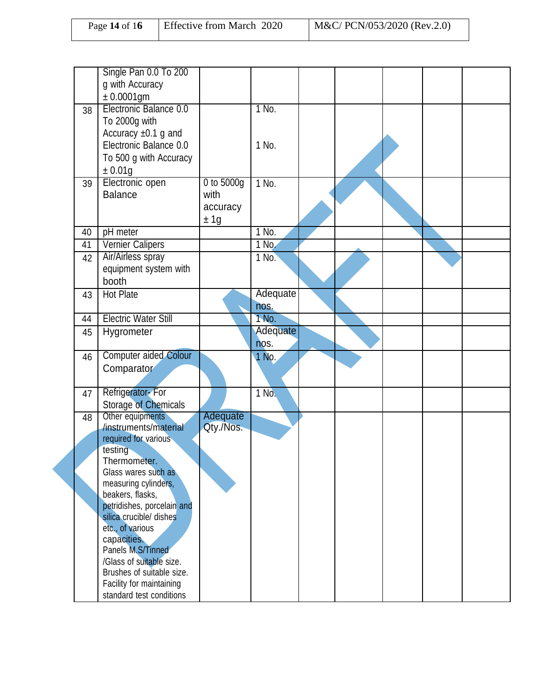| Page 14 of $16$ | <b>Effective from March 2020</b> | M&C/ PCN/053/2020 (Rev.2.0) |
|-----------------|----------------------------------|-----------------------------|
|                 |                                  |                             |

|    | Single Pan 0.0 To 200<br>g with Accuracy                            |            |          |  |  |  |
|----|---------------------------------------------------------------------|------------|----------|--|--|--|
|    | $± 0.0001$ gm                                                       |            |          |  |  |  |
| 38 | Electronic Balance 0.0<br>To 2000g with<br>Accuracy $\pm 0.1$ g and |            | 1 No.    |  |  |  |
|    | Electronic Balance 0.0<br>To 500 g with Accuracy                    |            | 1 No.    |  |  |  |
|    | ±0.01g                                                              | 0 to 5000g | $1$ No.  |  |  |  |
| 39 | Electronic open<br><b>Balance</b>                                   | with       |          |  |  |  |
|    |                                                                     | accuracy   |          |  |  |  |
|    |                                                                     | ± 1g       |          |  |  |  |
| 40 | pH meter                                                            |            | $1$ No.  |  |  |  |
| 41 | <b>Vernier Calipers</b>                                             |            | 1 No.    |  |  |  |
| 42 | Air/Airless spray                                                   |            | 1 No.    |  |  |  |
|    | equipment system with                                               |            |          |  |  |  |
|    | booth                                                               |            |          |  |  |  |
| 43 | Hot Plate                                                           |            | Adequate |  |  |  |
|    |                                                                     |            | nos.     |  |  |  |
| 44 | <b>Electric Water Still</b>                                         |            | $1$ No.  |  |  |  |
| 45 | Hygrometer                                                          |            | Adequate |  |  |  |
|    |                                                                     |            | nos.     |  |  |  |
| 46 | <b>Computer aided Colour</b>                                        |            | 1 No.    |  |  |  |
|    | Comparator                                                          |            |          |  |  |  |
| 47 | Refrigerator-For                                                    |            | 1 No.    |  |  |  |
|    | <b>Storage of Chemicals</b>                                         |            |          |  |  |  |
| 48 | Other equipments                                                    | Adequate   |          |  |  |  |
|    | /instruments/material                                               | Qty./Nos.  |          |  |  |  |
|    | required for various                                                |            |          |  |  |  |
|    | testing                                                             |            |          |  |  |  |
|    | Thermometer.<br>Glass wares such as                                 |            |          |  |  |  |
|    | measuring cylinders,                                                |            |          |  |  |  |
|    | beakers, flasks,                                                    |            |          |  |  |  |
|    | petridishes, porcelain and                                          |            |          |  |  |  |
|    | silica crucible/ dishes                                             |            |          |  |  |  |
|    | etc., of various                                                    |            |          |  |  |  |
|    | capacities.                                                         |            |          |  |  |  |
|    | Panels M.S/Tinned                                                   |            |          |  |  |  |
|    | /Glass of suitable size.<br>Brushes of suitable size.               |            |          |  |  |  |
|    | Facility for maintaining                                            |            |          |  |  |  |
|    | standard test conditions                                            |            |          |  |  |  |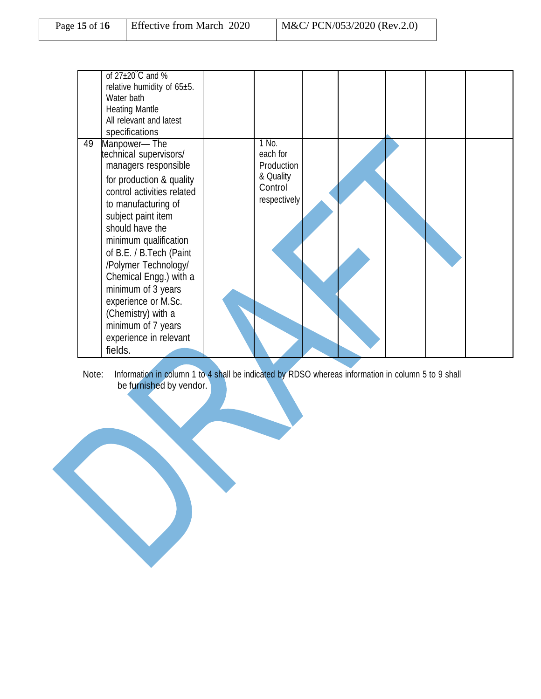| Page 15 of 16 | Effective from March 2020 | $M&C/PCN/053/2020$ (Rev.2.0) |
|---------------|---------------------------|------------------------------|
|               |                           |                              |

|    | of $27\pm20^{\circ}$ C and %<br>relative humidity of 65±5.<br>Water bath<br><b>Heating Mantle</b><br>All relevant and latest<br>specifications                                                                                                                                                                                                                                                                    |                                                                         |  |  |  |
|----|-------------------------------------------------------------------------------------------------------------------------------------------------------------------------------------------------------------------------------------------------------------------------------------------------------------------------------------------------------------------------------------------------------------------|-------------------------------------------------------------------------|--|--|--|
| 49 | Manpower-The<br>technical supervisors/<br>managers responsible<br>for production & quality<br>control activities related<br>to manufacturing of<br>subject paint item<br>should have the<br>minimum qualification<br>of B.E. / B.Tech (Paint<br>/Polymer Technology/<br>Chemical Engg.) with a<br>minimum of 3 years<br>experience or M.Sc.<br>(Chemistry) with a<br>minimum of 7 years<br>experience in relevant | 1 No.<br>each for<br>Production<br>& Quality<br>Control<br>respectively |  |  |  |
|    | fields.                                                                                                                                                                                                                                                                                                                                                                                                           |                                                                         |  |  |  |

Note: Information in column 1 to 4 shall be indicated by RDSO whereas information in column 5 to 9 shall be furnished by vendor.